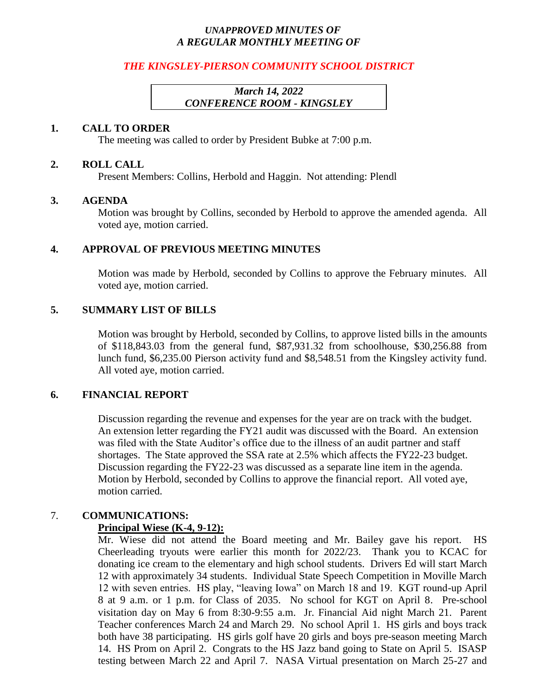### *UNAPPROVED MINUTES OF A REGULAR MONTHLY MEETING OF*

### *THE KINGSLEY-PIERSON COMMUNITY SCHOOL DISTRICT*

## *March 14, 2022 CONFERENCE ROOM - KINGSLEY*

#### **1. CALL TO ORDER**

The meeting was called to order by President Bubke at 7:00 p.m.

#### **2. ROLL CALL**

Present Members: Collins, Herbold and Haggin. Not attending: Plendl

#### **3. AGENDA**

Motion was brought by Collins, seconded by Herbold to approve the amended agenda. All voted aye, motion carried.

#### **4. APPROVAL OF PREVIOUS MEETING MINUTES**

Motion was made by Herbold, seconded by Collins to approve the February minutes. All voted aye, motion carried.

### **5. SUMMARY LIST OF BILLS**

Motion was brought by Herbold, seconded by Collins, to approve listed bills in the amounts of \$118,843.03 from the general fund, \$87,931.32 from schoolhouse, \$30,256.88 from lunch fund, \$6,235.00 Pierson activity fund and \$8,548.51 from the Kingsley activity fund. All voted aye, motion carried.

#### **6. FINANCIAL REPORT**

Discussion regarding the revenue and expenses for the year are on track with the budget. An extension letter regarding the FY21 audit was discussed with the Board. An extension was filed with the State Auditor's office due to the illness of an audit partner and staff shortages. The State approved the SSA rate at 2.5% which affects the FY22-23 budget. Discussion regarding the FY22-23 was discussed as a separate line item in the agenda. Motion by Herbold, seconded by Collins to approve the financial report. All voted aye, motion carried.

### 7. **COMMUNICATIONS:**

### **Principal Wiese (K-4, 9-12):**

Mr. Wiese did not attend the Board meeting and Mr. Bailey gave his report. HS Cheerleading tryouts were earlier this month for 2022/23. Thank you to KCAC for donating ice cream to the elementary and high school students. Drivers Ed will start March 12 with approximately 34 students. Individual State Speech Competition in Moville March 12 with seven entries. HS play, "leaving Iowa" on March 18 and 19. KGT round-up April 8 at 9 a.m. or 1 p.m. for Class of 2035. No school for KGT on April 8. Pre-school visitation day on May 6 from 8:30-9:55 a.m. Jr. Financial Aid night March 21. Parent Teacher conferences March 24 and March 29. No school April 1. HS girls and boys track both have 38 participating. HS girls golf have 20 girls and boys pre-season meeting March 14. HS Prom on April 2. Congrats to the HS Jazz band going to State on April 5. ISASP testing between March 22 and April 7. NASA Virtual presentation on March 25-27 and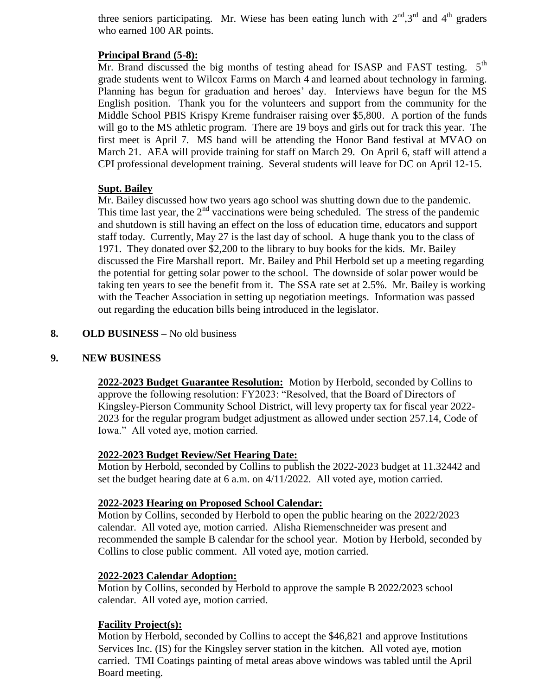three seniors participating. Mr. Wiese has been eating lunch with  $2<sup>nd</sup>,3<sup>rd</sup>$  and  $4<sup>th</sup>$  graders who earned 100 AR points.

## **Principal Brand (5-8):**

Mr. Brand discussed the big months of testing ahead for ISASP and FAST testing.  $5<sup>th</sup>$ grade students went to Wilcox Farms on March 4 and learned about technology in farming. Planning has begun for graduation and heroes' day. Interviews have begun for the MS English position. Thank you for the volunteers and support from the community for the Middle School PBIS Krispy Kreme fundraiser raising over \$5,800. A portion of the funds will go to the MS athletic program. There are 19 boys and girls out for track this year. The first meet is April 7. MS band will be attending the Honor Band festival at MVAO on March 21. AEA will provide training for staff on March 29. On April 6, staff will attend a CPI professional development training. Several students will leave for DC on April 12-15.

# **Supt. Bailey**

Mr. Bailey discussed how two years ago school was shutting down due to the pandemic. This time last year, the  $2<sup>nd</sup>$  vaccinations were being scheduled. The stress of the pandemic and shutdown is still having an effect on the loss of education time, educators and support staff today. Currently, May 27 is the last day of school. A huge thank you to the class of 1971. They donated over \$2,200 to the library to buy books for the kids. Mr. Bailey discussed the Fire Marshall report. Mr. Bailey and Phil Herbold set up a meeting regarding the potential for getting solar power to the school. The downside of solar power would be taking ten years to see the benefit from it. The SSA rate set at 2.5%. Mr. Bailey is working with the Teacher Association in setting up negotiation meetings. Information was passed out regarding the education bills being introduced in the legislator.

## **8. OLD BUSINESS –** No old business

# **9. NEW BUSINESS**

**2022-2023 Budget Guarantee Resolution:** Motion by Herbold, seconded by Collins to approve the following resolution: FY2023: "Resolved, that the Board of Directors of Kingsley-Pierson Community School District, will levy property tax for fiscal year 2022- 2023 for the regular program budget adjustment as allowed under section 257.14, Code of Iowa." All voted aye, motion carried.

### **2022-2023 Budget Review/Set Hearing Date:**

Motion by Herbold, seconded by Collins to publish the 2022-2023 budget at 11.32442 and set the budget hearing date at 6 a.m. on  $4/11/2022$ . All voted aye, motion carried.

### **2022-2023 Hearing on Proposed School Calendar:**

Motion by Collins, seconded by Herbold to open the public hearing on the 2022/2023 calendar. All voted aye, motion carried. Alisha Riemenschneider was present and recommended the sample B calendar for the school year. Motion by Herbold, seconded by Collins to close public comment. All voted aye, motion carried.

### **2022-2023 Calendar Adoption:**

Motion by Collins, seconded by Herbold to approve the sample B 2022/2023 school calendar. All voted aye, motion carried.

# **Facility Project(s):**

Motion by Herbold, seconded by Collins to accept the \$46,821 and approve Institutions Services Inc. (IS) for the Kingsley server station in the kitchen. All voted aye, motion carried. TMI Coatings painting of metal areas above windows was tabled until the April Board meeting.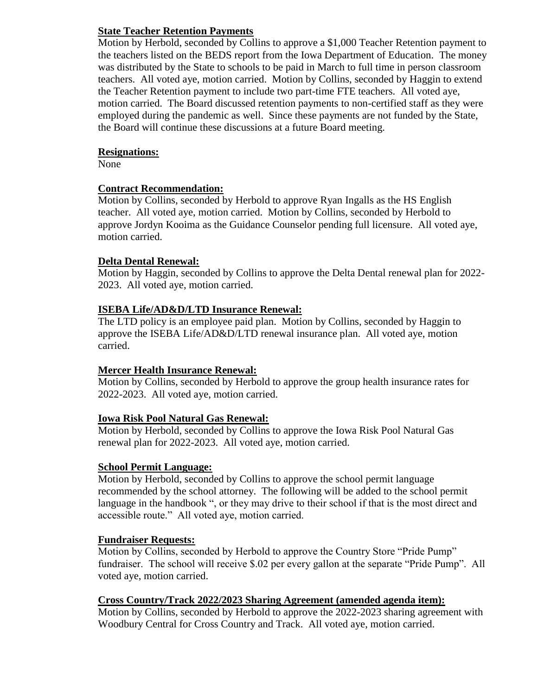# **State Teacher Retention Payments**

Motion by Herbold, seconded by Collins to approve a \$1,000 Teacher Retention payment to the teachers listed on the BEDS report from the Iowa Department of Education. The money was distributed by the State to schools to be paid in March to full time in person classroom teachers. All voted aye, motion carried. Motion by Collins, seconded by Haggin to extend the Teacher Retention payment to include two part-time FTE teachers. All voted aye, motion carried. The Board discussed retention payments to non-certified staff as they were employed during the pandemic as well. Since these payments are not funded by the State, the Board will continue these discussions at a future Board meeting.

### **Resignations:**

None

## **Contract Recommendation:**

Motion by Collins, seconded by Herbold to approve Ryan Ingalls as the HS English teacher. All voted aye, motion carried. Motion by Collins, seconded by Herbold to approve Jordyn Kooima as the Guidance Counselor pending full licensure. All voted aye, motion carried.

## **Delta Dental Renewal:**

Motion by Haggin, seconded by Collins to approve the Delta Dental renewal plan for 2022- 2023. All voted aye, motion carried.

## **ISEBA Life/AD&D/LTD Insurance Renewal:**

The LTD policy is an employee paid plan. Motion by Collins, seconded by Haggin to approve the ISEBA Life/AD&D/LTD renewal insurance plan. All voted aye, motion carried.

# **Mercer Health Insurance Renewal:**

Motion by Collins, seconded by Herbold to approve the group health insurance rates for 2022-2023. All voted aye, motion carried.

# **Iowa Risk Pool Natural Gas Renewal:**

Motion by Herbold, seconded by Collins to approve the Iowa Risk Pool Natural Gas renewal plan for 2022-2023. All voted aye, motion carried.

### **School Permit Language:**

Motion by Herbold, seconded by Collins to approve the school permit language recommended by the school attorney. The following will be added to the school permit language in the handbook ", or they may drive to their school if that is the most direct and accessible route." All voted aye, motion carried.

### **Fundraiser Requests:**

Motion by Collins, seconded by Herbold to approve the Country Store "Pride Pump" fundraiser. The school will receive \$.02 per every gallon at the separate "Pride Pump". All voted aye, motion carried.

### **Cross Country/Track 2022/2023 Sharing Agreement (amended agenda item):**

Motion by Collins, seconded by Herbold to approve the 2022-2023 sharing agreement with Woodbury Central for Cross Country and Track. All voted aye, motion carried.